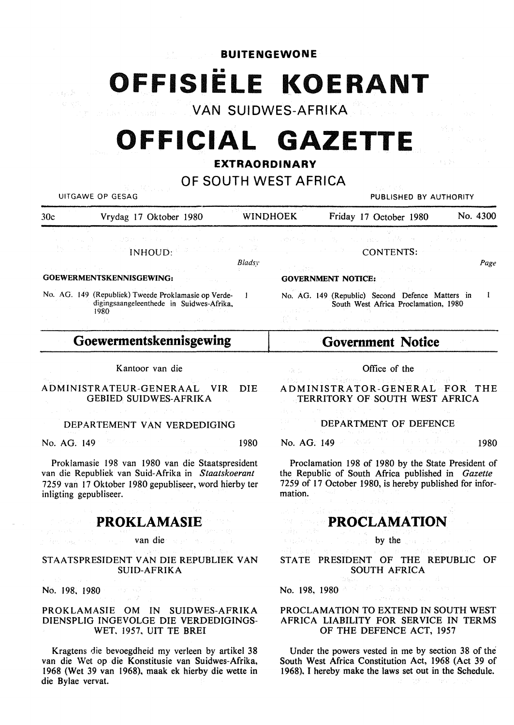**BUITENGEWONE** 

**OFFISIELE KOERANT** 

**VAN SUIDWES-AFRIKA** 

# **OFFICIAL GAZETTE**

### **EXTRAORDINARY**

### **OF SOUTH WEST AFRICA**

| UITGAWE OP GESAG                                                                                                                                                        |                                                                                                                                                                                                                                                                                                                    |                                  | PUBLISHED BY AUTHORITY                                                                                                                                                                                                                                                                                                            |                                                                                                                                                                                                                                                                                                       |          |
|-------------------------------------------------------------------------------------------------------------------------------------------------------------------------|--------------------------------------------------------------------------------------------------------------------------------------------------------------------------------------------------------------------------------------------------------------------------------------------------------------------|----------------------------------|-----------------------------------------------------------------------------------------------------------------------------------------------------------------------------------------------------------------------------------------------------------------------------------------------------------------------------------|-------------------------------------------------------------------------------------------------------------------------------------------------------------------------------------------------------------------------------------------------------------------------------------------------------|----------|
| 30c                                                                                                                                                                     | Vrydag 17 Oktober 1980                                                                                                                                                                                                                                                                                             | <b>WINDHOEK</b>                  |                                                                                                                                                                                                                                                                                                                                   | Friday 17 October 1980                                                                                                                                                                                                                                                                                | No. 4300 |
|                                                                                                                                                                         | 经过的现在分词 网络加拿大特鲁斯 化电子电子 医乳头 医精神病<br><b>Experiment TNHOUD:</b> The contract of the contract of the contract of the contract of the contract of the contract of the contract of the contract of the contract of the contract of the contract of the contract of the contr<br>and with the first state of the state of | <b>Bladsy</b>                    |                                                                                                                                                                                                                                                                                                                                   | 2008년 - 1999년 - 1999년 - 1999년 - 1999년 <del>- 1999</del> 년<br>substitute and a final state of the second contract of<br><b>CONTENTS:</b><br>a ng Lukas ng Paranggan ng Pangangangan.<br>Pangangan ng Pangangan ng Pangangangan ng Pangangangan ng Pangangangan ng Pangangangan ng Pangangangan ng Pang | Page     |
| <b>GOEWERMENTSKENNISGEWING:</b><br>No. AG. 149 (Republiek) Tweede Proklamasie op Verde-<br>digingsaangeleenthede in Suidwes-Afrika,<br>1980.<br>医囊膜炎 化二氯苯基 医心包 医心包 医体积性 |                                                                                                                                                                                                                                                                                                                    |                                  | <b>GOVERNMENT NOTICE:</b><br>No. AG. 149 (Republic) Second Defence Matters in<br>South West Africa Proclamation, 1980<br>a se porta de la caractería de la caractería.<br>Constituídas de la caractería de la caractería de la caractería de la caractería de la caractería de la caract<br>and the company of the company of the |                                                                                                                                                                                                                                                                                                       |          |
| Goewermentskennisgewing                                                                                                                                                 |                                                                                                                                                                                                                                                                                                                    |                                  | <b>Government Notice</b>                                                                                                                                                                                                                                                                                                          |                                                                                                                                                                                                                                                                                                       |          |
|                                                                                                                                                                         | Kantoor van die                                                                                                                                                                                                                                                                                                    | Marketing and the company of the | <b>Substitution</b>                                                                                                                                                                                                                                                                                                               | Office of the<br>$\sim 10^{11}$ , $\rm{Mpc}$                                                                                                                                                                                                                                                          |          |

ADMINISTRATEUR-GENERAAL VIR DIE GEBIED SUIDWES-AFRIKA

#### DEPARTEMENT VAN VERDEDIGING

No. AG. 149 **1980** 

Proklamasie 198 van 1980 van die Staatspresident van die Republiek van Suid-Afrika in *Staatskoerant*  7259 van 17 Oktober 1980 gepubliseer, word hierby ter inligting gepubliseer.

## **PROKLAMASIE**

### van die van die van die van die van die van die van die van die van die van die van die van die van die van die van die van die van die van die van die van die van die van die van die van die van die van die van die van di

#### STAATSPRESIDENT VAN DIE REPUBLIEK VAN SUID-AFRIKA

No. 198, 1980

### PROKLAMASIE OM IN SUIDWES-AFRIKA DIENSPLIG INGEVOLGE DIE VERDEDIGINGS-WET. 1957, UIT TE BREI

Kragtens die bevoegdheid my verleen by artikel 38 van die Wet op die Konstitusie van Suidwes-Afrika, 1968 (Wet 39 van 1968), maak ek hierby die wette in die Bylae vervat.

ADMINISTRATOR-GENERAL FOR THE TERRITORY OF SOUTH WEST AFRICA

### DEPARTMENT OF DEFENCE

No. AG. 149 1980

Proclamation 198 of 1980 by the State President of the Republic of South Africa published in *Gazette*  7259 of 17 October 1980, is hereby published for information.

### **PROCLAMATION**

### by the completion

STATE PRESIDENT OF THE REPUBLIC OF SOUTH AFRICA

### No. 198, 1980 And Allen Double

### PROCLAMATION TO EXTEND IN SOUTH WEST AFRICA LIABILITY FOR SERVICE IN TERMS OF THE DEFENCE ACT, 1957

.<br>Version

Under the powers vested in me by section 38 of the South West Africa Constitution Act, 1968 (Act 39 of 1968), I hereby make the laws set out in the Schedule.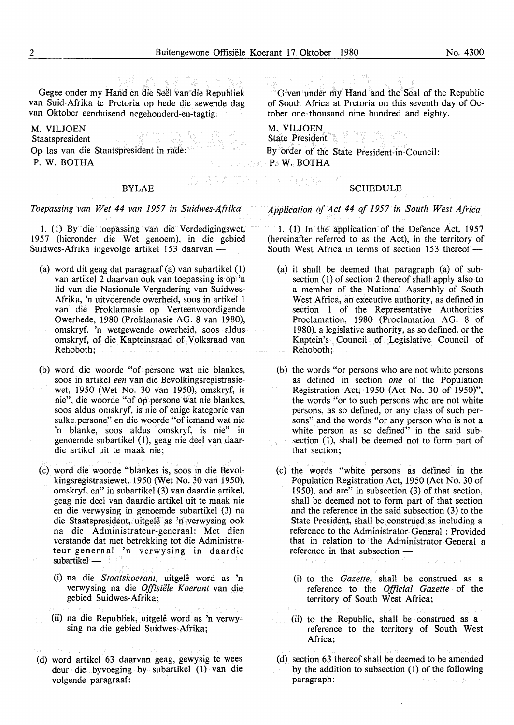Gegee onder my Hand en die Seel van die Republiek van Suid-Afrika te Pretoria op hede die sewende dag van Oktober eenduisend negehonderd-en-tagtig.

M. VILJOEN Staatspresident

Op las van die Staatspresident-in-rade:

P. W. BOTHA

### BYLAE

#### *Toepassing van Wet 44 van 1957 in Suidwes-Afrika*

I. ( l) By die toepassing van die Verdedigingswet, 1957 (hieronder die Wet genoem), in die gebied Suidwes-Afrika ingevolge artikel 153 daarvan -

- (a) word dit geag dat paragraaf (a) van subartikel ( 1) van artikel 2 daarvan ook van toepassing is op 'n lid van die Nasionale Vergadering van Suidwes-Afrika, 'n uitvoerende owerheid, soos in artike1 1 van die Proklamasie op Verteenwoordigende Owerhede, 1980 (Proklamasie AG. 8 van 1980), omskryf, 'n wetgewende owerheid, soos aldus omskryf, of die Kapteinsraad of Volksraad van Rehoboth;
- (b) word die woorde "of persone wat nie blankes, soos in artikel *een* van die Bevolkingsregistrasiewet, 1950 (Wet No. 30 van 1950), omskryf, is nie", die woorde "of op persone wat nie blankes, soos aldus omskryf, is nie of enige kategorie van sulke persone" en die woorde "of iemand wat nie 'n blanke, soos aldus omskryf, is nie" in genoemde subartikel (1), geag nie deel van daardie artikel uit te maak nie;
- (c) word die woorde "blankes is, soos in die Bevolkingsregistrasiewet, 1950 (Wet No. 30 van 1950), omskryf, en" in subartikel (3) van daardie artikel, geag nie dee! van daardie artikel uit te maak nie en die verwysing in genoemde subartikel (3) na die Staatspresident, uitgelê as 'n verwysing ook na die Administrateur-generaal: Met dien verstande dat met betrekking tot die Administrateur-genera al 'n verwysing in daardie subartikel -
	- (i) na die *Staatskoerant,* uitgele word as 'n verwysing na die *Offisiele Koerant* van die gebied Suidwes-Afrika;
- (ii) na die Republiek, uitgele word as 'n verwysing na die gebied Suidwes-Afrika;
- (d) word artikel 63 daarvan geag, gewysig te wees deur die byvoeging by subartikel (1) van die volgende paragraaf:

Given under my Hand and the Seal of the Republic of South Africa at Pretoria on this seventh day of October one thousand nine hundred and eighty.

M. VILJOEN State President By order of the State President-in-Council: P. W. BOTHA

RTUGE

### **SCHEDULE**

### *Application of Act 44 of 1957 in South West Africa*

1. (1) In the application of the Defence Act, 1957 (hereinafter referred to as the Act), in the territory of South West Africa in terms of section  $153$  thereof -

- (a) it shall be deemed that paragraph (a) of subsection (1) of section 2 thereof shall apply also to a member of the National Assembly of South West Africa, an executive authority, as defined in section 1 of the Representative Authorities Proclamation, 1980 (Proclamation AG. 8 of 1980), a legislative authority, as so defined, or the Kaptein's Council of Legislative Council of Rehoboth; .
- (b) the words "or persons who are not white persons as defined in section *one* of the Population Registration Act, 1950 (Act No. 30 of 1950)", the words "or to such persons who are not white persons, as so defined, or any class of such persons" and the words "or any person who is not a white person as so defined" in the said subsection  $(1)$ , shall be deemed not to form part of that section;
- ( c) the words "white persons as defined in the Population Registration Act, 1950 (Act No. 30 of 1950), and are" in subsection (3) of that section, shall be deemed not to form part of that section and the reference in the said subsection (3) to the State President, shall be construed as including a reference to the Administrator-General : Provided that in relation to the Administrator-General a reference in that subsection -
	- (i) to the *Gazette,* shall be construed as a reference to the *Official Gazette* of the territory of South West Africa;
	- (ii) to the Republic, shall be construed as a reference to the territory of South West Africa;
- (d) section 63 thereof shall be deemed to be amended by the addition to subsection (1) of the following paragraph: